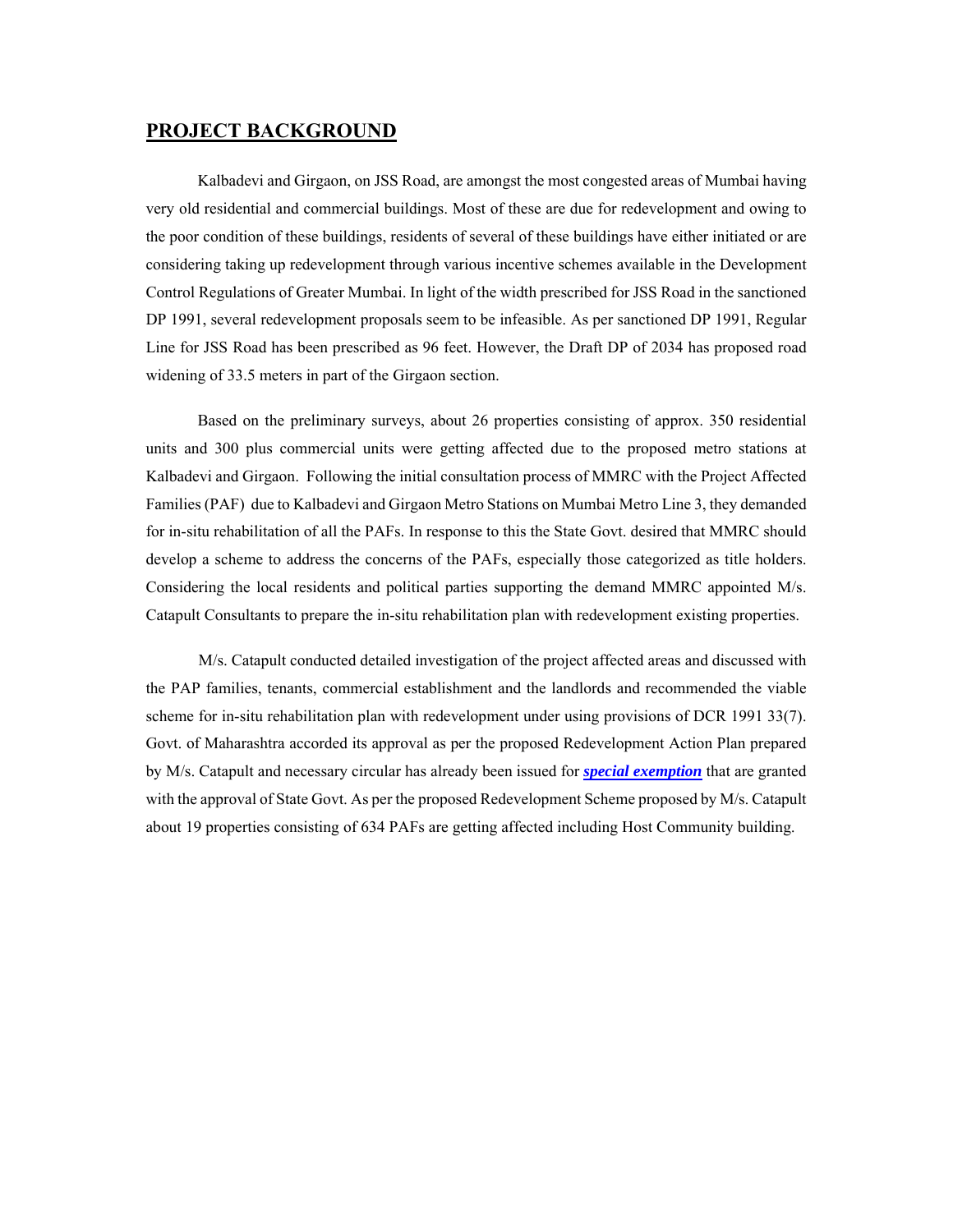### **PROJECT BACKGROUND**

Kalbadevi and Girgaon, on JSS Road, are amongst the most congested areas of Mumbai having very old residential and commercial buildings. Most of these are due for redevelopment and owing to the poor condition of these buildings, residents of several of these buildings have either initiated or are considering taking up redevelopment through various incentive schemes available in the Development Control Regulations of Greater Mumbai. In light of the width prescribed for JSS Road in the sanctioned DP 1991, several redevelopment proposals seem to be infeasible. As per sanctioned DP 1991, Regular Line for JSS Road has been prescribed as 96 feet. However, the Draft DP of 2034 has proposed road widening of 33.5 meters in part of the Girgaon section.

Based on the preliminary surveys, about 26 properties consisting of approx. 350 residential units and 300 plus commercial units were getting affected due to the proposed metro stations at Kalbadevi and Girgaon. Following the initial consultation process of MMRC with the Project Affected Families (PAF) due to Kalbadevi and Girgaon Metro Stations on Mumbai Metro Line 3, they demanded for in-situ rehabilitation of all the PAFs. In response to this the State Govt. desired that MMRC should develop a scheme to address the concerns of the PAFs, especially those categorized as title holders. Considering the local residents and political parties supporting the demand MMRC appointed M/s. Catapult Consultants to prepare the in-situ rehabilitation plan with redevelopment existing properties.

 M/s. Catapult conducted detailed investigation of the project affected areas and discussed with the PAP families, tenants, commercial establishment and the landlords and recommended the viable scheme for in-situ rehabilitation plan with redevelopment under using provisions of DCR 1991 33(7). Govt. of Maharashtra accorded its approval as per the proposed Redevelopment Action Plan prepared by M/s. Catapult and necessary circular has already been issued for *special exemption* that are granted with the approval of State Govt. As per the proposed Redevelopment Scheme proposed by M/s. Catapult about 19 properties consisting of 634 PAFs are getting affected including Host Community building.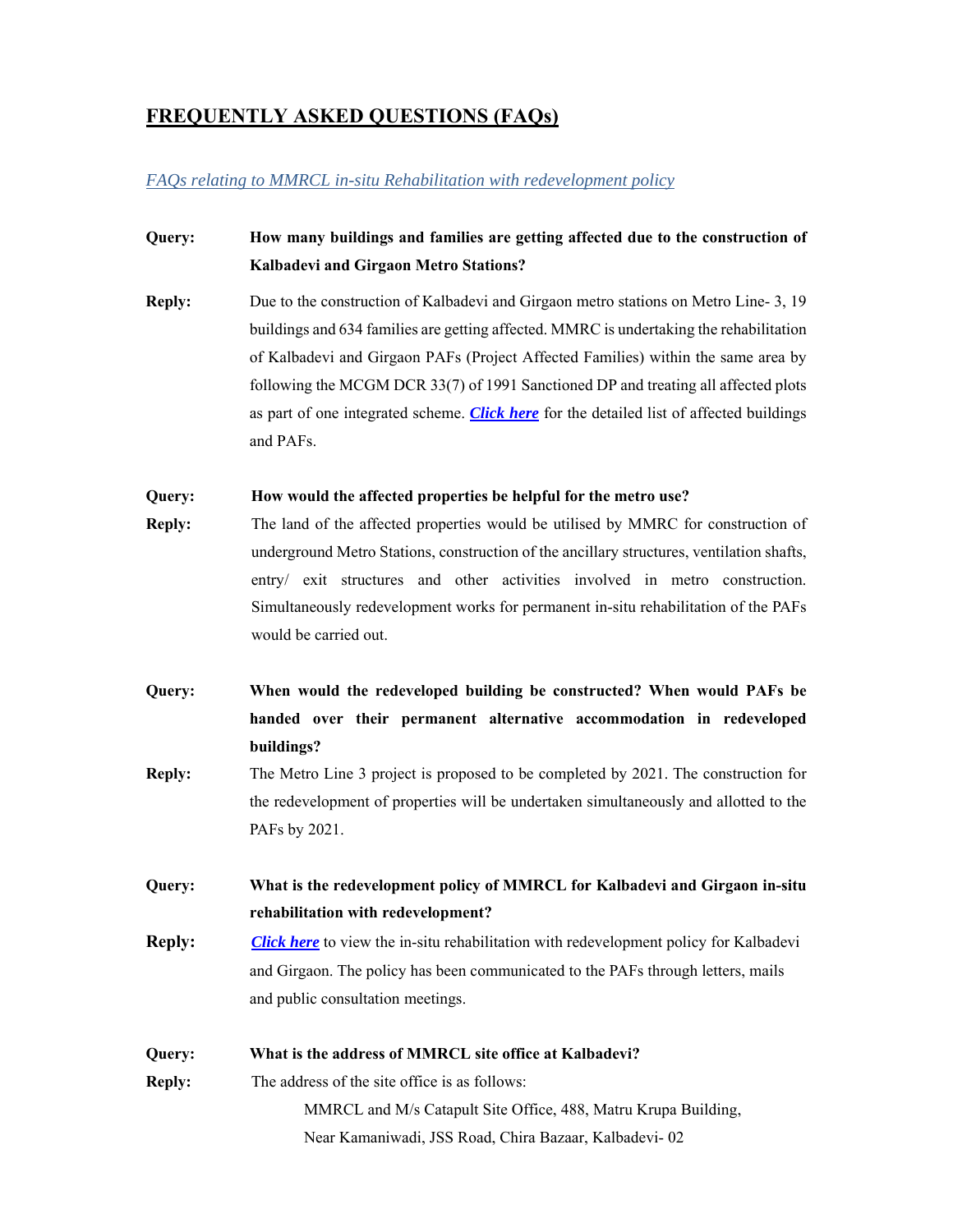## **FREQUENTLY ASKED QUESTIONS (FAQs)**

#### *FAQs relating to MMRCL in-situ Rehabilitation with redevelopment policy*

### **Query: How many buildings and families are getting affected due to the construction of Kalbadevi and Girgaon Metro Stations?**

**Reply:** Due to the construction of Kalbadevi and Girgaon metro stations on Metro Line- 3, 19 buildings and 634 families are getting affected. MMRC is undertaking the rehabilitation of Kalbadevi and Girgaon PAFs (Project Affected Families) within the same area by following the MCGM DCR 33(7) of 1991 Sanctioned DP and treating all affected plots as part of one integrated scheme. *Click here* for the detailed list of affected buildings and PAFs.

#### **Query: How would the affected properties be helpful for the metro use?**

- **Reply:** The land of the affected properties would be utilised by MMRC for construction of underground Metro Stations, construction of the ancillary structures, ventilation shafts, entry/ exit structures and other activities involved in metro construction. Simultaneously redevelopment works for permanent in-situ rehabilitation of the PAFs would be carried out.
- **Query: When would the redeveloped building be constructed? When would PAFs be handed over their permanent alternative accommodation in redeveloped buildings?**
- **Reply:** The Metro Line 3 project is proposed to be completed by 2021. The construction for the redevelopment of properties will be undertaken simultaneously and allotted to the PAFs by 2021.

**Query: What is the redevelopment policy of MMRCL for Kalbadevi and Girgaon in-situ rehabilitation with redevelopment?** 

**Reply:** *Click here* to view the in-situ rehabilitation with redevelopment policy for Kalbadevi and Girgaon. The policy has been communicated to the PAFs through letters, mails and public consultation meetings.

**Query: What is the address of MMRCL site office at Kalbadevi? Reply:** The address of the site office is as follows: MMRCL and M/s Catapult Site Office, 488, Matru Krupa Building, Near Kamaniwadi, JSS Road, Chira Bazaar, Kalbadevi- 02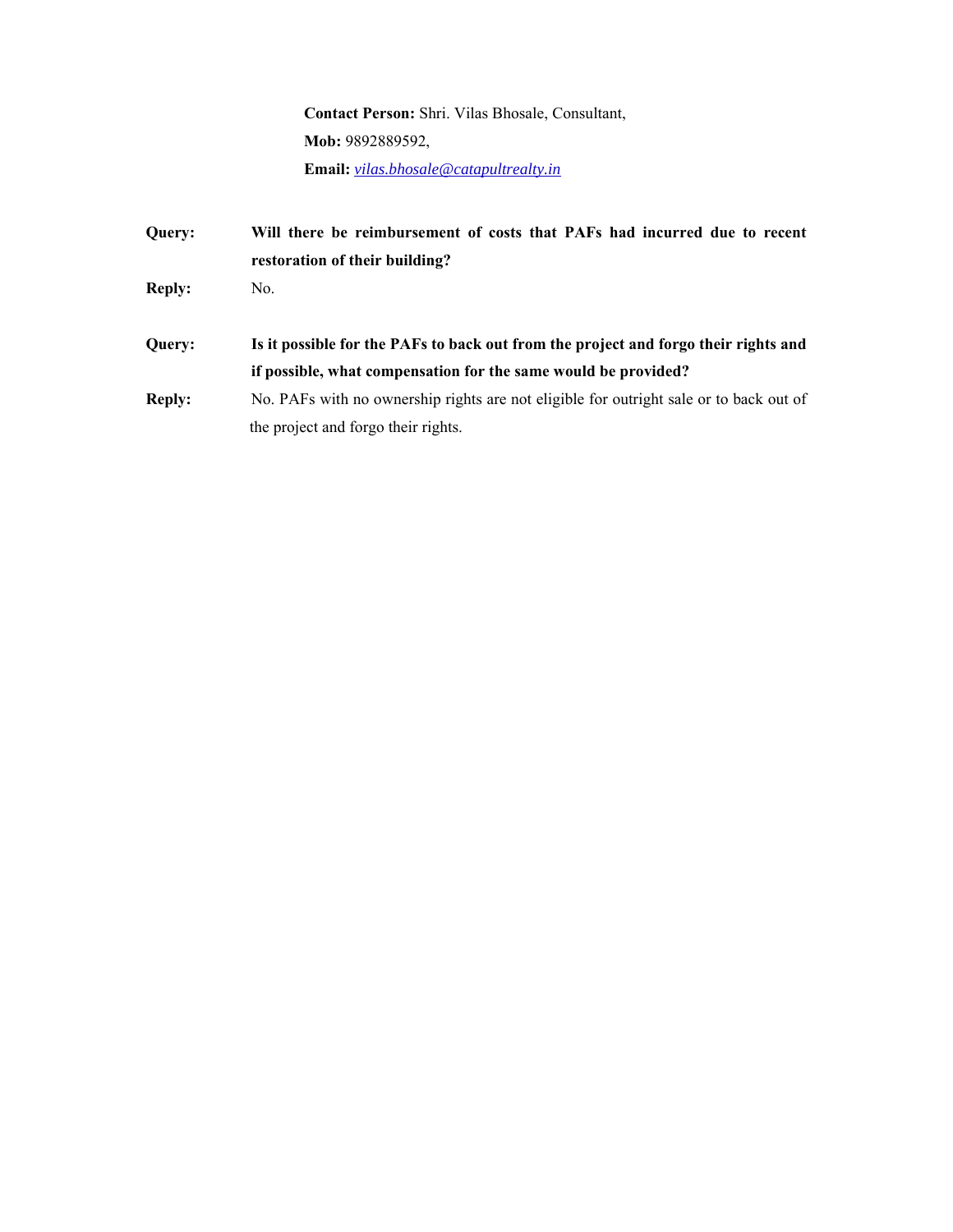**Contact Person:** Shri. Vilas Bhosale, Consultant, **Mob:** 9892889592, **Email:** *vilas.bhosale@catapultrealty.in*

**Query: Will there be reimbursement of costs that PAFs had incurred due to recent restoration of their building? Reply:** No. **Query: Is it possible for the PAFs to back out from the project and forgo their rights and if possible, what compensation for the same would be provided? Reply:** No. PAFs with no ownership rights are not eligible for outright sale or to back out of the project and forgo their rights.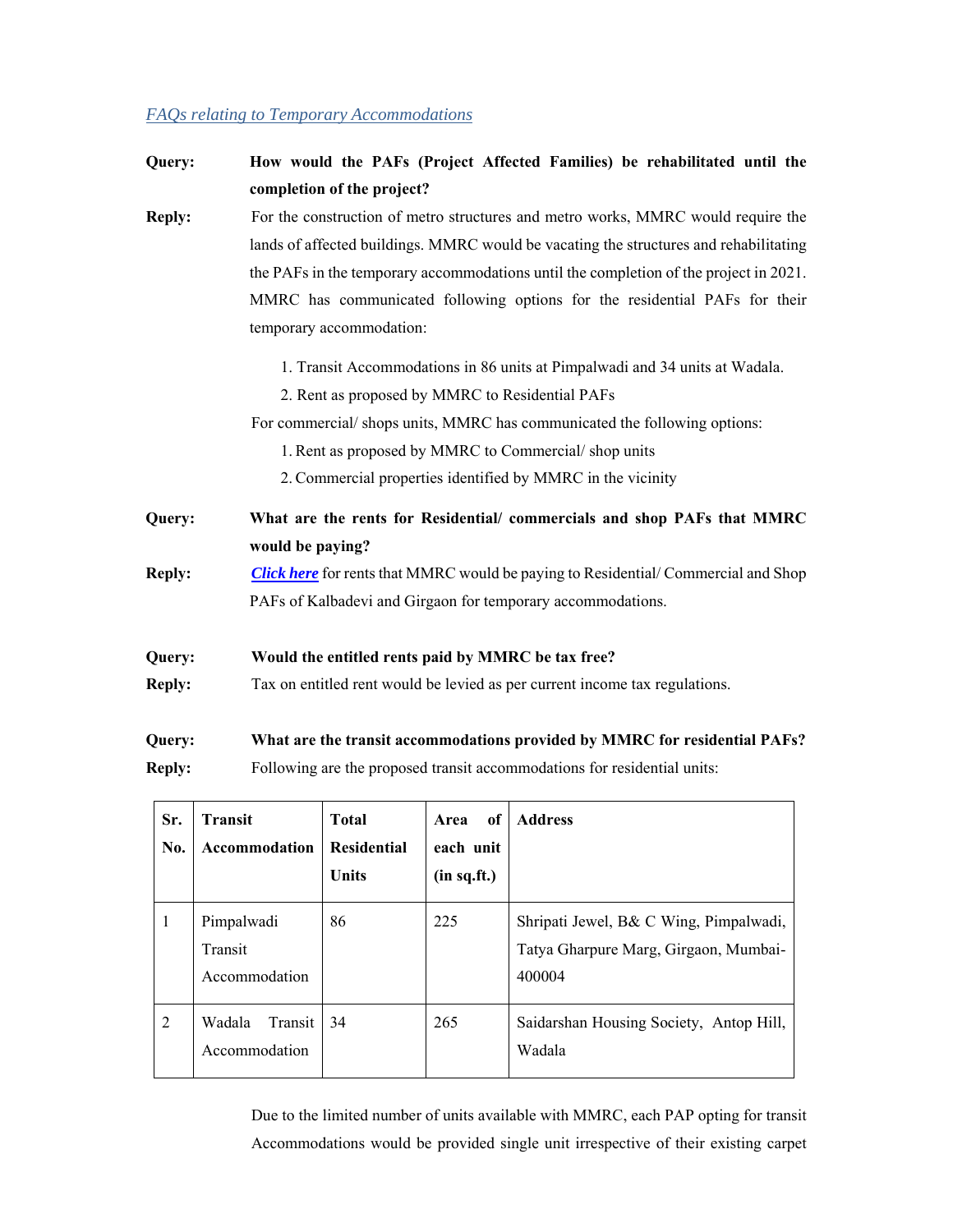### *FAQs relating to Temporary Accommodations*

| Query:        | How would the PAFs (Project Affected Families) be rehabilitated until the                                                   |                                                                         |  |                                                      |
|---------------|-----------------------------------------------------------------------------------------------------------------------------|-------------------------------------------------------------------------|--|------------------------------------------------------|
|               | completion of the project?                                                                                                  |                                                                         |  |                                                      |
| <b>Reply:</b> | For the construction of metro structures and metro works, MMRC would require the                                            |                                                                         |  |                                                      |
|               | lands of affected buildings. MMRC would be vacating the structures and rehabilitating                                       |                                                                         |  |                                                      |
|               | the PAFs in the temporary accommodations until the completion of the project in 2021.                                       |                                                                         |  |                                                      |
|               | MMRC has communicated following options for the residential PAFs for their                                                  |                                                                         |  |                                                      |
|               | temporary accommodation:                                                                                                    |                                                                         |  |                                                      |
|               | 1. Transit Accommodations in 86 units at Pimpalwadi and 34 units at Wadala.                                                 |                                                                         |  |                                                      |
|               | 2. Rent as proposed by MMRC to Residential PAFs<br>For commercial/shops units, MMRC has communicated the following options: |                                                                         |  |                                                      |
|               |                                                                                                                             |                                                                         |  | 1. Rent as proposed by MMRC to Commercial/shop units |
|               | 2. Commercial properties identified by MMRC in the vicinity                                                                 |                                                                         |  |                                                      |
|               | Query:                                                                                                                      | What are the rents for Residential/ commercials and shop PAFs that MMRC |  |                                                      |
|               | would be paying?                                                                                                            |                                                                         |  |                                                      |
| <b>Reply:</b> | <b>Click here</b> for rents that MMRC would be paying to Residential/Commercial and Shop                                    |                                                                         |  |                                                      |
|               | PAFs of Kalbadevi and Girgaon for temporary accommodations.                                                                 |                                                                         |  |                                                      |
| Query:        | Would the entitled rents paid by MMRC be tax free?                                                                          |                                                                         |  |                                                      |
| <b>Reply:</b> | Tax on entitled rent would be levied as per current income tax regulations.                                                 |                                                                         |  |                                                      |
| Query:        | What are the transit accommodations provided by MMRC for residential PAFs?                                                  |                                                                         |  |                                                      |

**Reply:** Following are the proposed transit accommodations for residential units:

| Sr.<br>No. | <b>Transit</b><br>Accommodation        | <b>Total</b><br><b>Residential</b><br><b>Units</b> | of<br>Area<br>each unit<br>(in sq.fit.) | <b>Address</b>                                                                            |
|------------|----------------------------------------|----------------------------------------------------|-----------------------------------------|-------------------------------------------------------------------------------------------|
| 1          | Pimpalwadi<br>Transit<br>Accommodation | 86                                                 | 225                                     | Shripati Jewel, B& C Wing, Pimpalwadi,<br>Tatya Gharpure Marg, Girgaon, Mumbai-<br>400004 |
| 2          | Wadala<br>Transit<br>Accommodation     | 34                                                 | 265                                     | Saidarshan Housing Society, Antop Hill,<br>Wadala                                         |

Due to the limited number of units available with MMRC, each PAP opting for transit Accommodations would be provided single unit irrespective of their existing carpet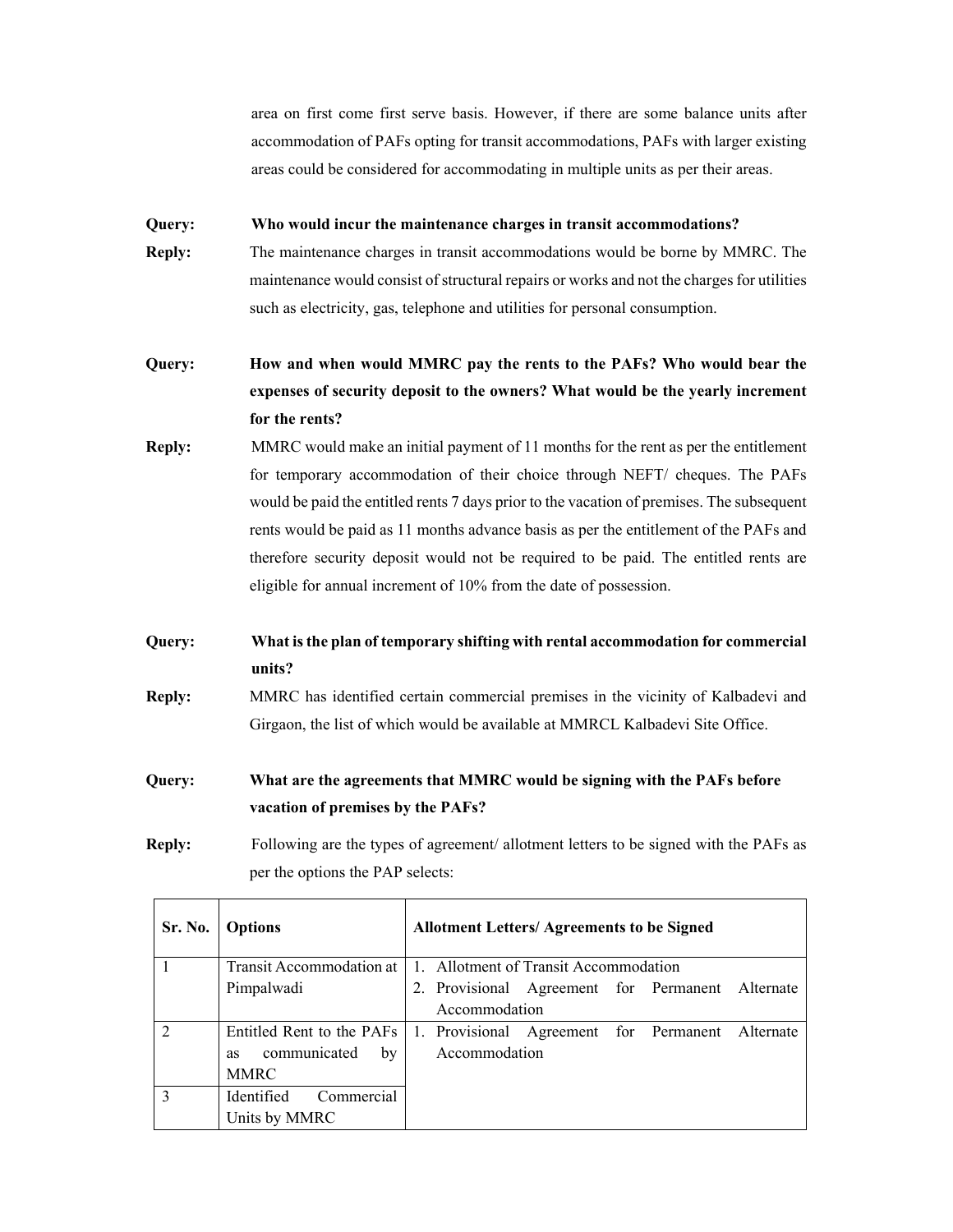area on first come first serve basis. However, if there are some balance units after accommodation of PAFs opting for transit accommodations, PAFs with larger existing areas could be considered for accommodating in multiple units as per their areas.

#### **Query: Who would incur the maintenance charges in transit accommodations?**

**Reply:** The maintenance charges in transit accommodations would be borne by MMRC. The maintenance would consist of structural repairs or works and not the charges for utilities such as electricity, gas, telephone and utilities for personal consumption.

# **Query: How and when would MMRC pay the rents to the PAFs? Who would bear the expenses of security deposit to the owners? What would be the yearly increment for the rents?**

**Reply:** MMRC would make an initial payment of 11 months for the rent as per the entitlement for temporary accommodation of their choice through NEFT/ cheques. The PAFs would be paid the entitled rents 7 days prior to the vacation of premises. The subsequent rents would be paid as 11 months advance basis as per the entitlement of the PAFs and therefore security deposit would not be required to be paid. The entitled rents are eligible for annual increment of 10% from the date of possession.

### **Query: What is the plan of temporary shifting with rental accommodation for commercial units?**

**Reply:** MMRC has identified certain commercial premises in the vicinity of Kalbadevi and Girgaon, the list of which would be available at MMRCL Kalbadevi Site Office.

## **Query: What are the agreements that MMRC would be signing with the PAFs before vacation of premises by the PAFs?**

**Reply:** Following are the types of agreement/ allotment letters to be signed with the PAFs as per the options the PAP selects:

| Sr. No.        | <b>Options</b>                  | <b>Allotment Letters/ Agreements to be Signed</b>                          |  |  |  |  |  |
|----------------|---------------------------------|----------------------------------------------------------------------------|--|--|--|--|--|
|                | Transit Accommodation at        | 1. Allotment of Transit Accommodation                                      |  |  |  |  |  |
|                | Pimpalwadi                      | 2. Provisional Agreement for Permanent Alternate                           |  |  |  |  |  |
|                |                                 | Accommodation                                                              |  |  |  |  |  |
| $\overline{2}$ |                                 | Entitled Rent to the PAFs 1. Provisional Agreement for Permanent Alternate |  |  |  |  |  |
|                | communicated<br>bv<br><b>as</b> | Accommodation                                                              |  |  |  |  |  |
|                | MMRC                            |                                                                            |  |  |  |  |  |
| $\mathbf{3}$   | Commercial<br>Identified        |                                                                            |  |  |  |  |  |
|                | Units by MMRC                   |                                                                            |  |  |  |  |  |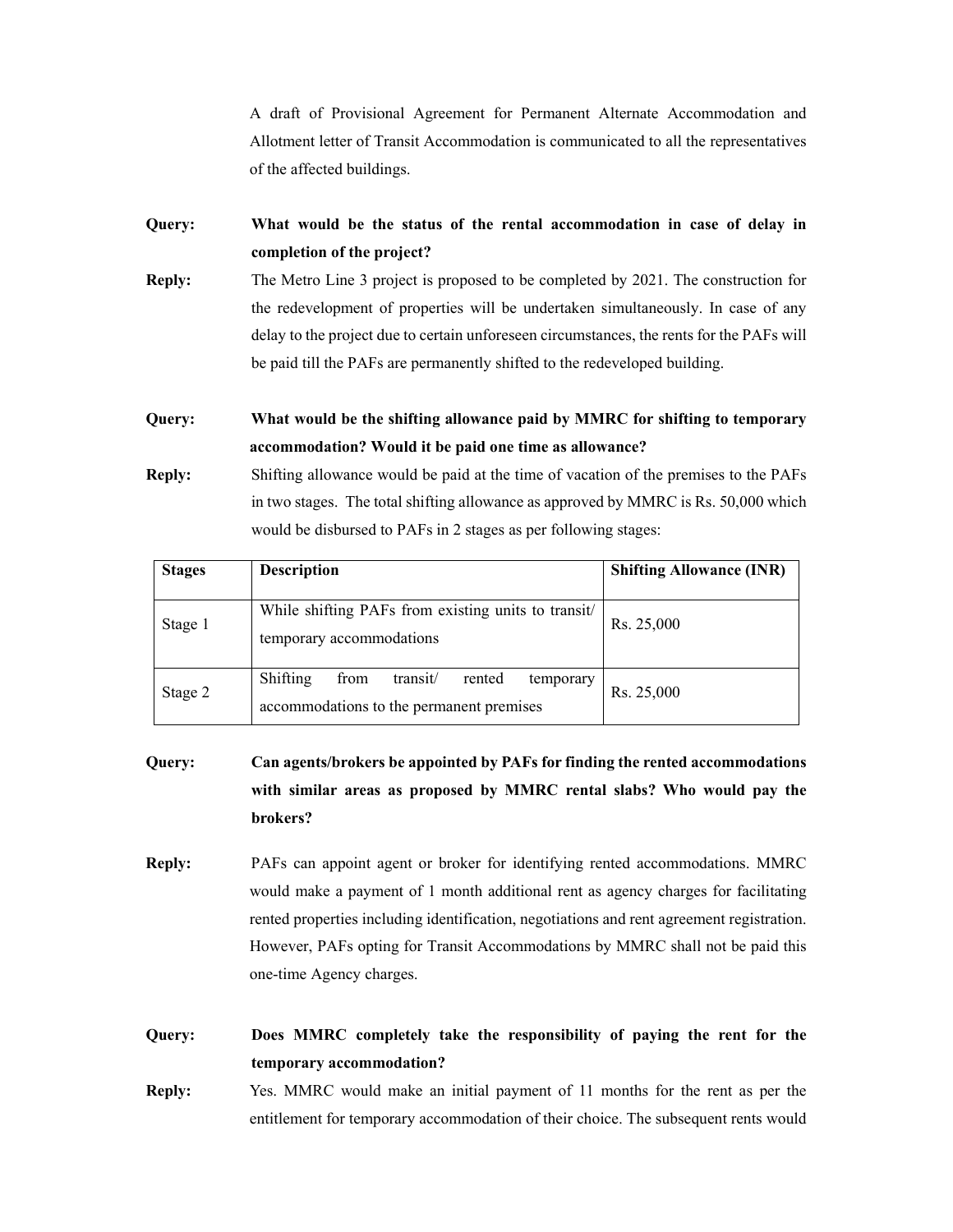A draft of Provisional Agreement for Permanent Alternate Accommodation and Allotment letter of Transit Accommodation is communicated to all the representatives of the affected buildings.

### **Query: What would be the status of the rental accommodation in case of delay in completion of the project?**

**Reply:** The Metro Line 3 project is proposed to be completed by 2021. The construction for the redevelopment of properties will be undertaken simultaneously. In case of any delay to the project due to certain unforeseen circumstances, the rents for the PAFs will be paid till the PAFs are permanently shifted to the redeveloped building.

### **Query: What would be the shifting allowance paid by MMRC for shifting to temporary accommodation? Would it be paid one time as allowance?**

**Reply:** Shifting allowance would be paid at the time of vacation of the premises to the PAFs in two stages. The total shifting allowance as approved by MMRC is Rs. 50,000 which would be disbursed to PAFs in 2 stages as per following stages:

| <b>Stages</b> | <b>Description</b>                                                                              | <b>Shifting Allowance (INR)</b> |
|---------------|-------------------------------------------------------------------------------------------------|---------------------------------|
| Stage 1       | While shifting PAFs from existing units to transit/<br>temporary accommodations                 | Rs. 25,000                      |
| Stage 2       | Shifting<br>transit/<br>from<br>rented<br>temporary<br>accommodations to the permanent premises | Rs. 25,000                      |

# **Query: Can agents/brokers be appointed by PAFs for finding the rented accommodations with similar areas as proposed by MMRC rental slabs? Who would pay the brokers?**

**Reply:** PAFs can appoint agent or broker for identifying rented accommodations. MMRC would make a payment of 1 month additional rent as agency charges for facilitating rented properties including identification, negotiations and rent agreement registration. However, PAFs opting for Transit Accommodations by MMRC shall not be paid this one-time Agency charges.

**Query: Does MMRC completely take the responsibility of paying the rent for the temporary accommodation?** 

**Reply:** Yes. MMRC would make an initial payment of 11 months for the rent as per the entitlement for temporary accommodation of their choice. The subsequent rents would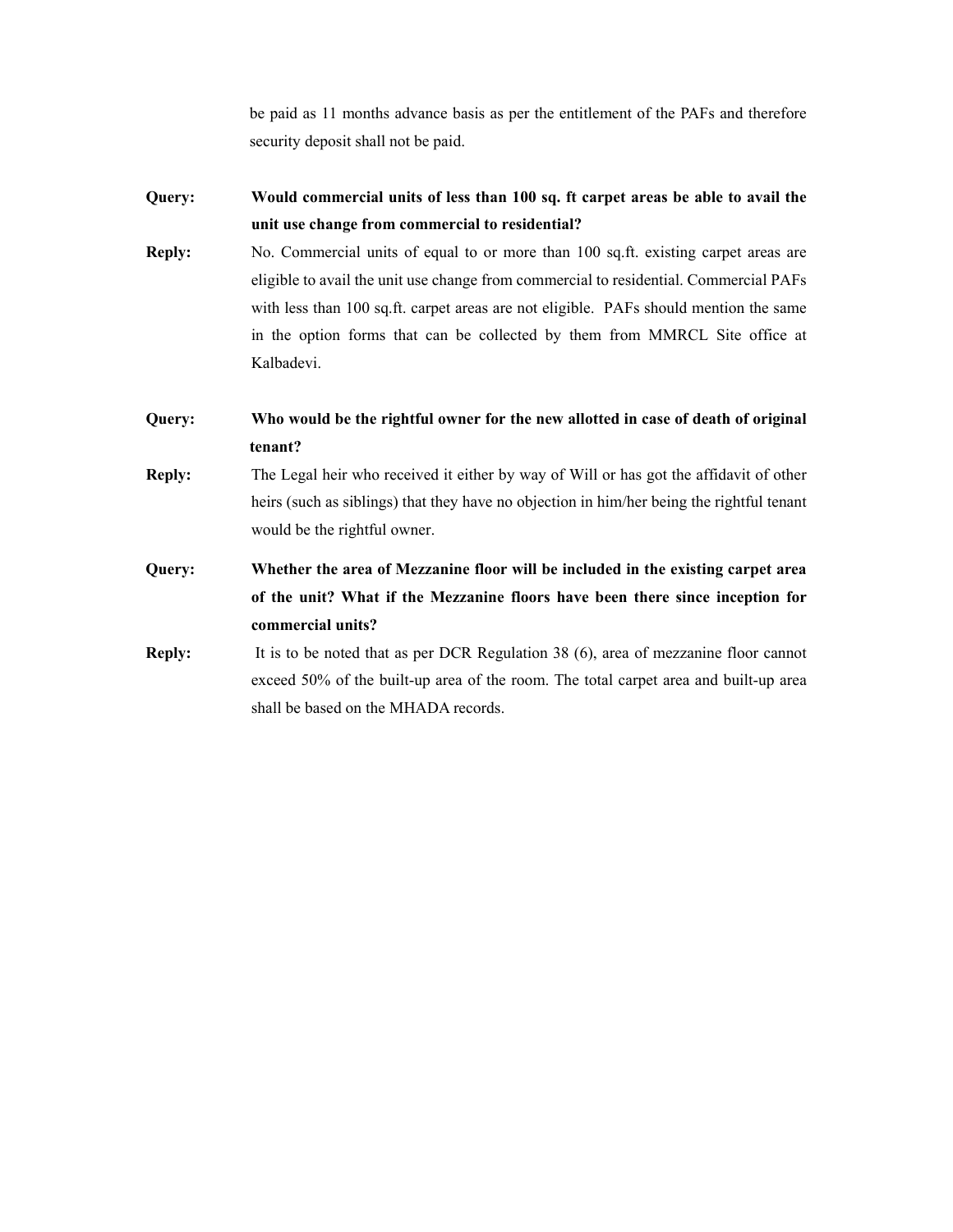be paid as 11 months advance basis as per the entitlement of the PAFs and therefore security deposit shall not be paid.

- **Query: Would commercial units of less than 100 sq. ft carpet areas be able to avail the unit use change from commercial to residential?**
- **Reply:** No. Commercial units of equal to or more than 100 sq.ft. existing carpet areas are eligible to avail the unit use change from commercial to residential. Commercial PAFs with less than 100 sq.ft. carpet areas are not eligible. PAFs should mention the same in the option forms that can be collected by them from MMRCL Site office at Kalbadevi.
- **Query: Who would be the rightful owner for the new allotted in case of death of original tenant?**
- **Reply:** The Legal heir who received it either by way of Will or has got the affidavit of other heirs (such as siblings) that they have no objection in him/her being the rightful tenant would be the rightful owner.
- **Query: Whether the area of Mezzanine floor will be included in the existing carpet area of the unit? What if the Mezzanine floors have been there since inception for commercial units?**
- **Reply:** It is to be noted that as per DCR Regulation 38 (6), area of mezzanine floor cannot exceed 50% of the built-up area of the room. The total carpet area and built-up area shall be based on the MHADA records.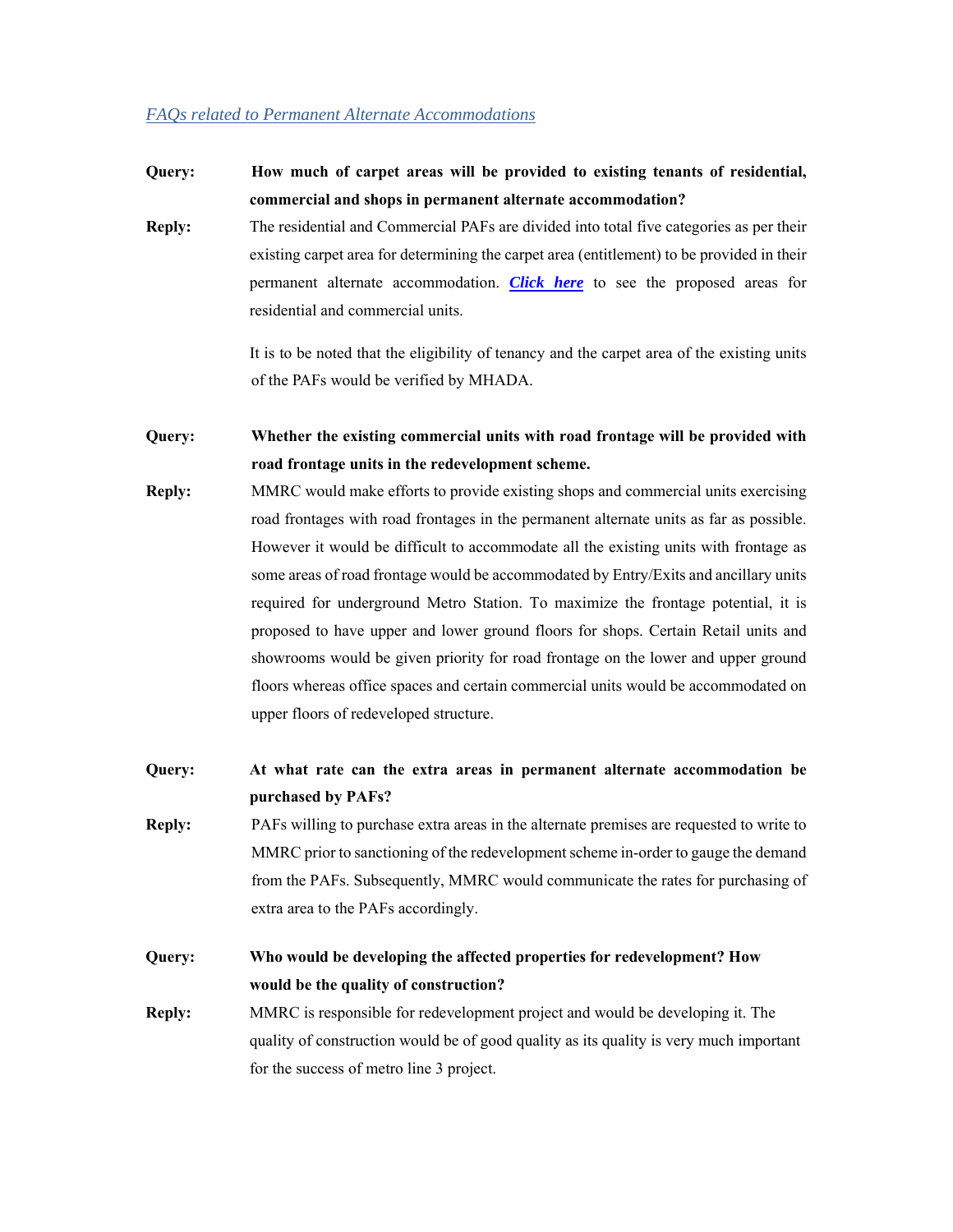#### *FAQs related to Permanent Alternate Accommodations*

### **Query: How much of carpet areas will be provided to existing tenants of residential, commercial and shops in permanent alternate accommodation?**

**Reply:** The residential and Commercial PAFs are divided into total five categories as per their existing carpet area for determining the carpet area (entitlement) to be provided in their permanent alternate accommodation. *Click here* to see the proposed areas for residential and commercial units.

> It is to be noted that the eligibility of tenancy and the carpet area of the existing units of the PAFs would be verified by MHADA.

**Query: Whether the existing commercial units with road frontage will be provided with road frontage units in the redevelopment scheme.**

**Reply:** MMRC would make efforts to provide existing shops and commercial units exercising road frontages with road frontages in the permanent alternate units as far as possible. However it would be difficult to accommodate all the existing units with frontage as some areas of road frontage would be accommodated by Entry/Exits and ancillary units required for underground Metro Station. To maximize the frontage potential, it is proposed to have upper and lower ground floors for shops. Certain Retail units and showrooms would be given priority for road frontage on the lower and upper ground floors whereas office spaces and certain commercial units would be accommodated on upper floors of redeveloped structure.

**Query: At what rate can the extra areas in permanent alternate accommodation be purchased by PAFs?** 

**Reply:** PAFs willing to purchase extra areas in the alternate premises are requested to write to MMRC prior to sanctioning of the redevelopment scheme in-order to gauge the demand from the PAFs. Subsequently, MMRC would communicate the rates for purchasing of extra area to the PAFs accordingly.

**Query: Who would be developing the affected properties for redevelopment? How would be the quality of construction?** 

**Reply:** MMRC is responsible for redevelopment project and would be developing it. The quality of construction would be of good quality as its quality is very much important for the success of metro line 3 project.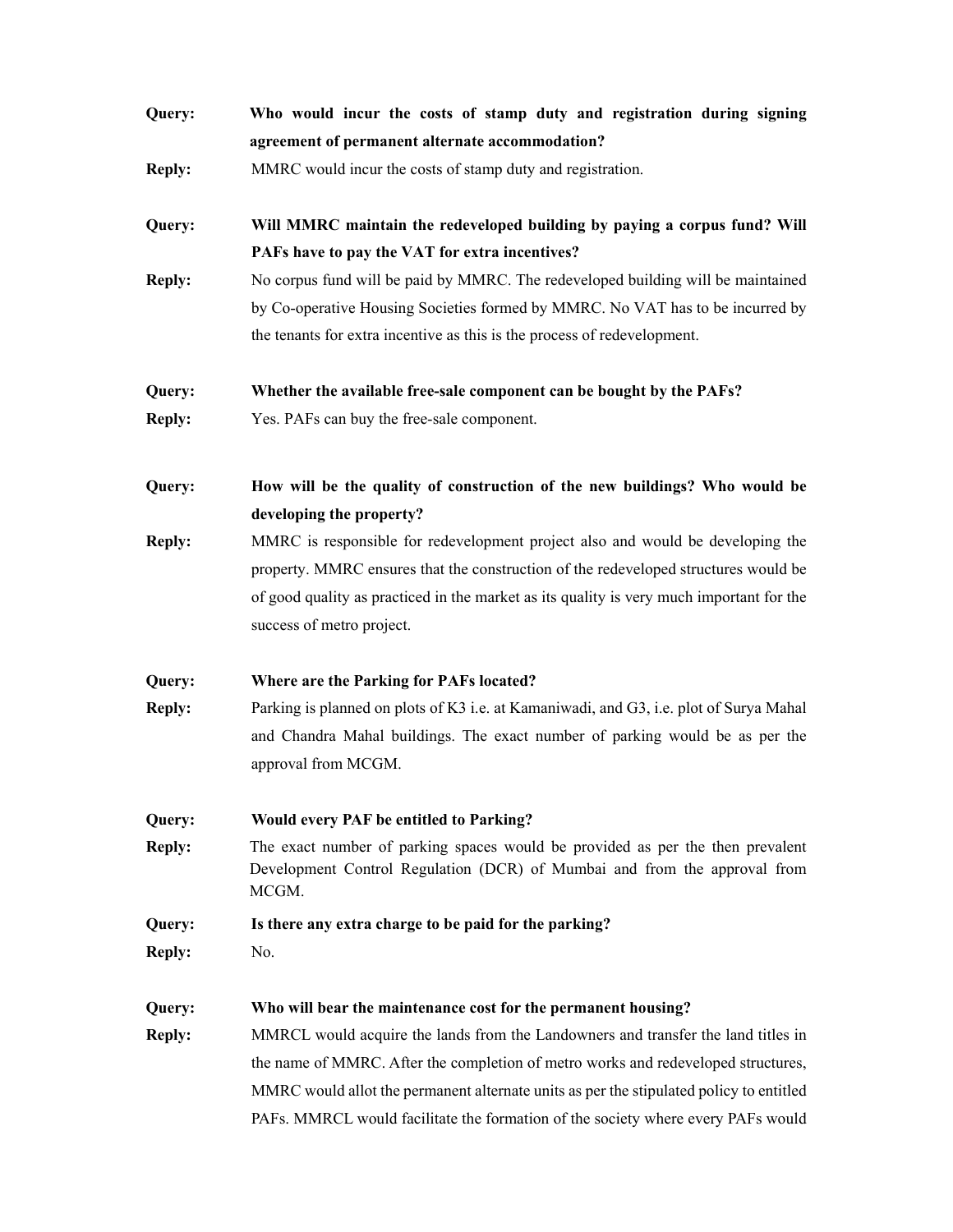| Query:        | Who would incur the costs of stamp duty and registration during signing<br>agreement of permanent alternate accommodation?                                           |  |  |
|---------------|----------------------------------------------------------------------------------------------------------------------------------------------------------------------|--|--|
| <b>Reply:</b> | MMRC would incur the costs of stamp duty and registration.                                                                                                           |  |  |
| Query:        | Will MMRC maintain the redeveloped building by paying a corpus fund? Will                                                                                            |  |  |
|               | PAFs have to pay the VAT for extra incentives?                                                                                                                       |  |  |
| <b>Reply:</b> | No corpus fund will be paid by MMRC. The redeveloped building will be maintained                                                                                     |  |  |
|               | by Co-operative Housing Societies formed by MMRC. No VAT has to be incurred by                                                                                       |  |  |
|               | the tenants for extra incentive as this is the process of redevelopment.                                                                                             |  |  |
| Query:        | Whether the available free-sale component can be bought by the PAFs?                                                                                                 |  |  |
| <b>Reply:</b> | Yes. PAFs can buy the free-sale component.                                                                                                                           |  |  |
| Query:        | How will be the quality of construction of the new buildings? Who would be                                                                                           |  |  |
|               | developing the property?                                                                                                                                             |  |  |
| <b>Reply:</b> | MMRC is responsible for redevelopment project also and would be developing the                                                                                       |  |  |
|               | property. MMRC ensures that the construction of the redeveloped structures would be                                                                                  |  |  |
|               | of good quality as practiced in the market as its quality is very much important for the                                                                             |  |  |
|               | success of metro project.                                                                                                                                            |  |  |
| Query:        | Where are the Parking for PAFs located?                                                                                                                              |  |  |
| <b>Reply:</b> | Parking is planned on plots of K3 i.e. at Kamaniwadi, and G3, i.e. plot of Surya Mahal                                                                               |  |  |
|               | and Chandra Mahal buildings. The exact number of parking would be as per the                                                                                         |  |  |
|               | approval from MCGM.                                                                                                                                                  |  |  |
| Query:        | Would every PAF be entitled to Parking?                                                                                                                              |  |  |
| <b>Reply:</b> | The exact number of parking spaces would be provided as per the then prevalent<br>Development Control Regulation (DCR) of Mumbai and from the approval from<br>MCGM. |  |  |
| Query:        | Is there any extra charge to be paid for the parking?                                                                                                                |  |  |
| <b>Reply:</b> | No.                                                                                                                                                                  |  |  |
| Query:        | Who will bear the maintenance cost for the permanent housing?                                                                                                        |  |  |
| <b>Reply:</b> | MMRCL would acquire the lands from the Landowners and transfer the land titles in                                                                                    |  |  |
|               | the name of MMRC. After the completion of metro works and redeveloped structures,                                                                                    |  |  |
|               | MMRC would allot the permanent alternate units as per the stipulated policy to entitled                                                                              |  |  |
|               | PAFs. MMRCL would facilitate the formation of the society where every PAFs would                                                                                     |  |  |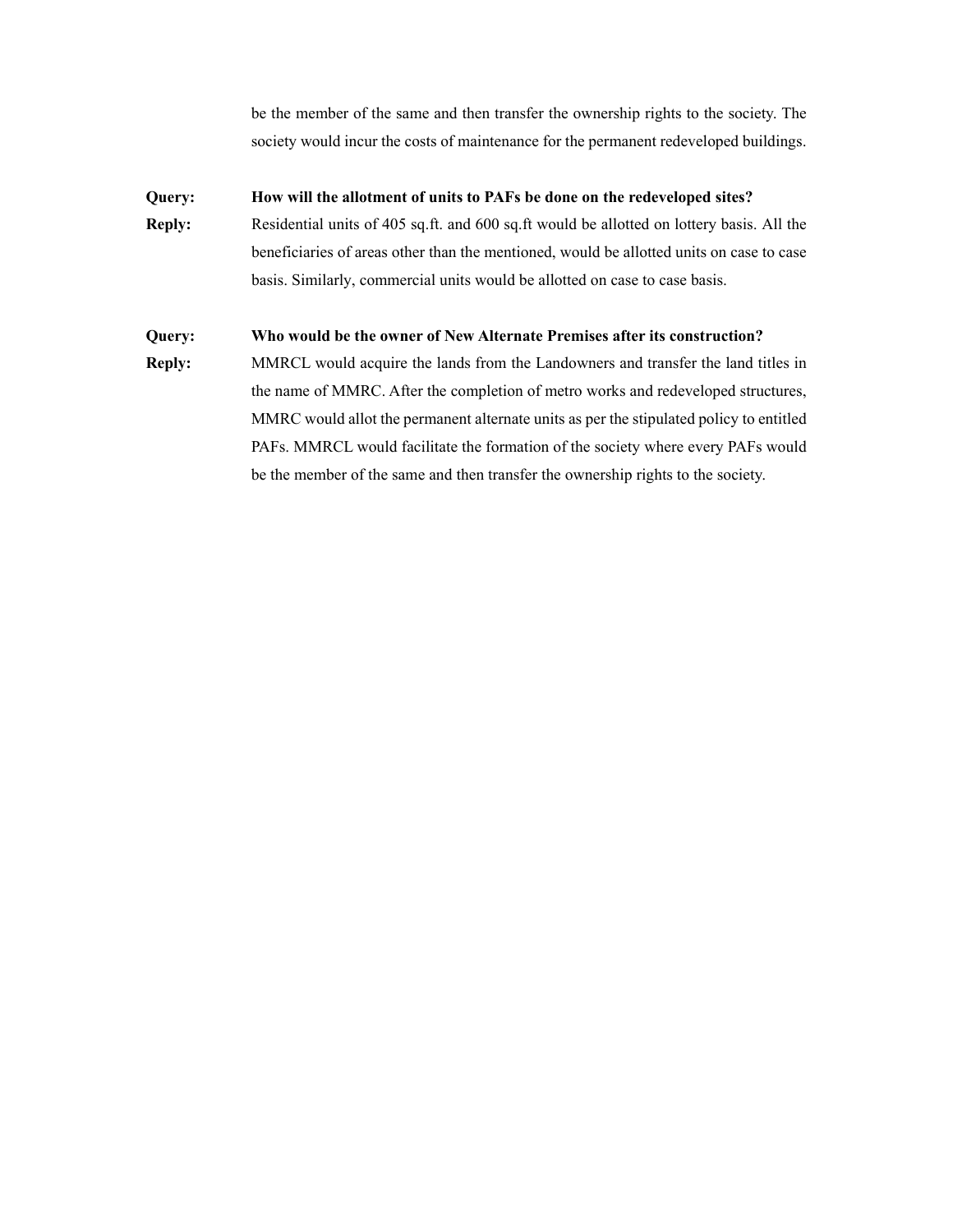be the member of the same and then transfer the ownership rights to the society. The society would incur the costs of maintenance for the permanent redeveloped buildings.

#### **Query: How will the allotment of units to PAFs be done on the redeveloped sites?**

**Reply:** Residential units of 405 sq.ft. and 600 sq.ft would be allotted on lottery basis. All the beneficiaries of areas other than the mentioned, would be allotted units on case to case basis. Similarly, commercial units would be allotted on case to case basis.

#### **Query: Who would be the owner of New Alternate Premises after its construction?**

**Reply:** MMRCL would acquire the lands from the Landowners and transfer the land titles in the name of MMRC. After the completion of metro works and redeveloped structures, MMRC would allot the permanent alternate units as per the stipulated policy to entitled PAFs. MMRCL would facilitate the formation of the society where every PAFs would be the member of the same and then transfer the ownership rights to the society.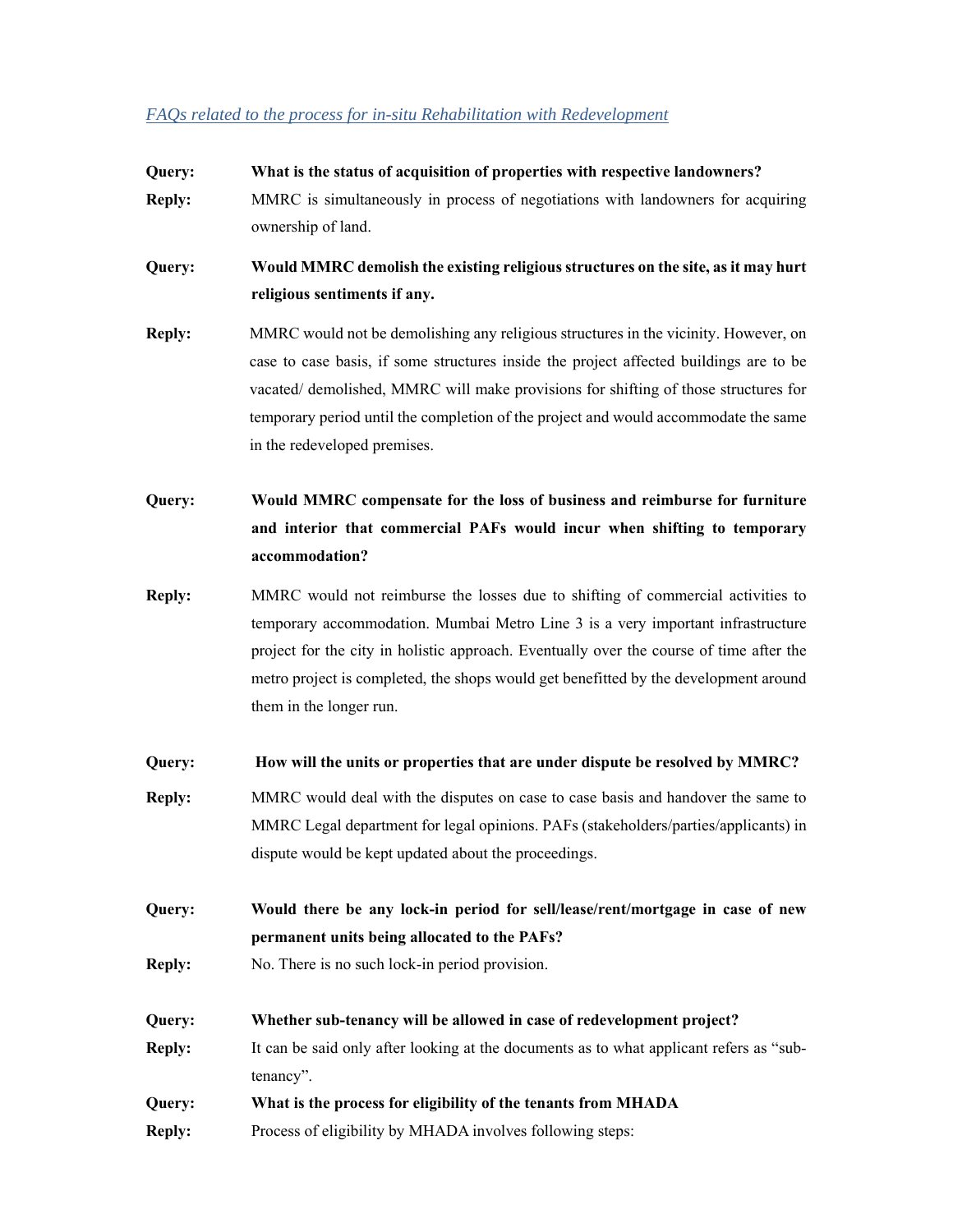#### *FAQs related to the process for in-situ Rehabilitation with Redevelopment*

**Query: What is the status of acquisition of properties with respective landowners? Reply:** MMRC is simultaneously in process of negotiations with landowners for acquiring

ownership of land.

- **Query: Would MMRC demolish the existing religious structures on the site, as it may hurt religious sentiments if any.**
- **Reply:** MMRC would not be demolishing any religious structures in the vicinity. However, on case to case basis, if some structures inside the project affected buildings are to be vacated/ demolished, MMRC will make provisions for shifting of those structures for temporary period until the completion of the project and would accommodate the same in the redeveloped premises.
- **Query: Would MMRC compensate for the loss of business and reimburse for furniture and interior that commercial PAFs would incur when shifting to temporary accommodation?**
- **Reply:** MMRC would not reimburse the losses due to shifting of commercial activities to temporary accommodation. Mumbai Metro Line 3 is a very important infrastructure project for the city in holistic approach. Eventually over the course of time after the metro project is completed, the shops would get benefitted by the development around them in the longer run.
- **Query: How will the units or properties that are under dispute be resolved by MMRC?**
- **Reply:** MMRC would deal with the disputes on case to case basis and handover the same to MMRC Legal department for legal opinions. PAFs (stakeholders/parties/applicants) in dispute would be kept updated about the proceedings.
- **Query: Would there be any lock-in period for sell/lease/rent/mortgage in case of new permanent units being allocated to the PAFs?**
- **Reply:** No. There is no such lock-in period provision.
- **Query: Whether sub-tenancy will be allowed in case of redevelopment project?**
- **Reply:** It can be said only after looking at the documents as to what applicant refers as "subtenancy".
- **Query: What is the process for eligibility of the tenants from MHADA**
- **Reply:** Process of eligibility by MHADA involves following steps: